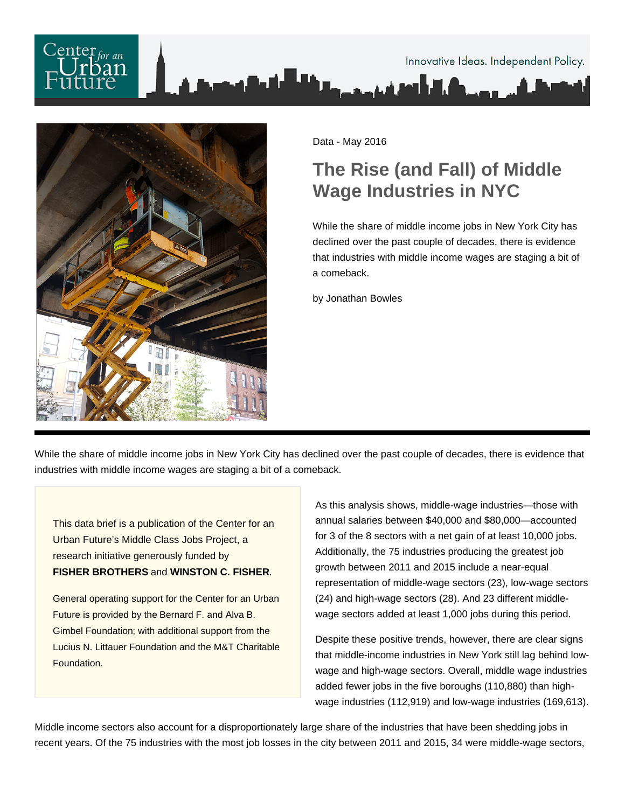# Innovative Ideas. Independent Policy.



Data - May 2016

# **The Rise (and Fall) of Middle Wage Industries in NYC**

While the share of middle income jobs in New York City has declined over the past couple of decades, there is evidence that industries with middle income wages are staging a bit of a comeback.

by Jonathan Bowles

While the share of middle income jobs in New York City has declined over the past couple of decades, there is evidence that industries with middle income wages are staging a bit of a comeback.

This data brief is a publication of the Center for an Urban Future's Middle Class Jobs Project, a research initiative generously funded by **FISHER BROTHERS** and **WINSTON C. FISHER**.

General operating support for the Center for an Urban Future is provided by the Bernard F. and Alva B. Gimbel Foundation; with additional support from the Lucius N. Littauer Foundation and the M&T Charitable Foundation.

As this analysis shows, middle-wage industries—those with annual salaries between \$40,000 and \$80,000—accounted for 3 of the 8 sectors with a net gain of at least 10,000 jobs. Additionally, the 75 industries producing the greatest job growth between 2011 and 2015 include a near-equal representation of middle-wage sectors (23), low-wage sectors (24) and high-wage sectors (28). And 23 different middlewage sectors added at least 1,000 jobs during this period.

Despite these positive trends, however, there are clear signs that middle-income industries in New York still lag behind lowwage and high-wage sectors. Overall, middle wage industries added fewer jobs in the five boroughs (110,880) than highwage industries (112,919) and low-wage industries (169,613).

Middle income sectors also account for a disproportionately large share of the industries that have been shedding jobs in recent years. Of the 75 industries with the most job losses in the city between 2011 and 2015, 34 were middle-wage sectors,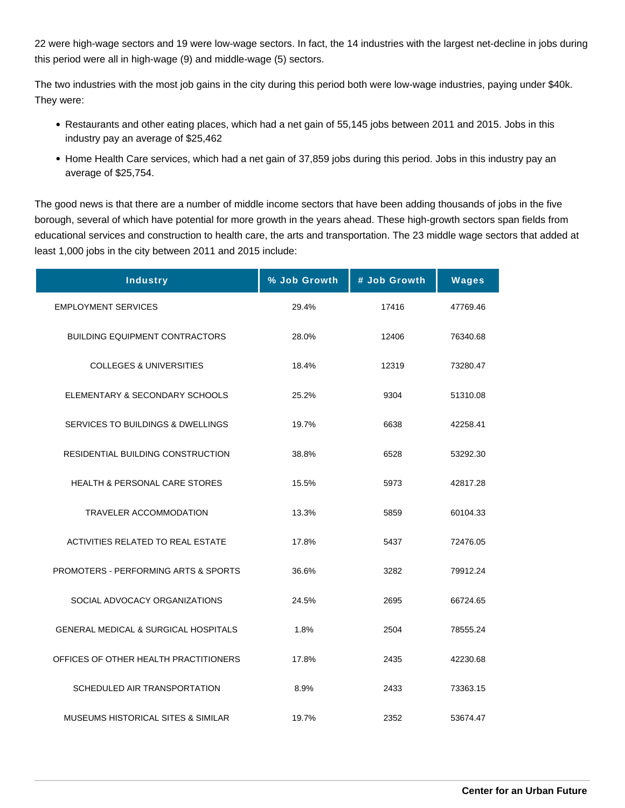22 were high-wage sectors and 19 were low-wage sectors. In fact, the 14 industries with the largest net-decline in jobs during this period were all in high-wage (9) and middle-wage (5) sectors.

The two industries with the most job gains in the city during this period both were low-wage industries, paying under \$40k. They were:

- Restaurants and other eating places, which had a net gain of 55,145 jobs between 2011 and 2015. Jobs in this industry pay an average of \$25,462
- Home Health Care services, which had a net gain of 37,859 jobs during this period. Jobs in this industry pay an average of \$25,754.

The good news is that there are a number of middle income sectors that have been adding thousands of jobs in the five borough, several of which have potential for more growth in the years ahead. These high-growth sectors span fields from educational services and construction to health care, the arts and transportation. The 23 middle wage sectors that added at least 1,000 jobs in the city between 2011 and 2015 include:

| <b>Industry</b>                                 | % Job Growth | # Job Growth | <b>Wages</b> |
|-------------------------------------------------|--------------|--------------|--------------|
| <b>EMPLOYMENT SERVICES</b>                      | 29.4%        | 17416        | 47769.46     |
| <b>BUILDING EQUIPMENT CONTRACTORS</b>           | 28.0%        | 12406        | 76340.68     |
| <b>COLLEGES &amp; UNIVERSITIES</b>              | 18.4%        | 12319        | 73280.47     |
| ELEMENTARY & SECONDARY SCHOOLS                  | 25.2%        | 9304         | 51310.08     |
| SERVICES TO BUILDINGS & DWELLINGS               | 19.7%        | 6638         | 42258.41     |
| RESIDENTIAL BUILDING CONSTRUCTION               | 38.8%        | 6528         | 53292.30     |
| <b>HEALTH &amp; PERSONAL CARE STORES</b>        | 15.5%        | 5973         | 42817.28     |
| <b>TRAVELER ACCOMMODATION</b>                   | 13.3%        | 5859         | 60104.33     |
| ACTIVITIES RELATED TO REAL ESTATE               | 17.8%        | 5437         | 72476.05     |
| <b>PROMOTERS - PERFORMING ARTS &amp; SPORTS</b> | 36.6%        | 3282         | 79912.24     |
| SOCIAL ADVOCACY ORGANIZATIONS                   | 24.5%        | 2695         | 66724.65     |
| <b>GENERAL MEDICAL &amp; SURGICAL HOSPITALS</b> | 1.8%         | 2504         | 78555.24     |
| OFFICES OF OTHER HEALTH PRACTITIONERS           | 17.8%        | 2435         | 42230.68     |
| SCHEDULED AIR TRANSPORTATION                    | 8.9%         | 2433         | 73363.15     |
| MUSEUMS HISTORICAL SITES & SIMILAR              | 19.7%        | 2352         | 53674.47     |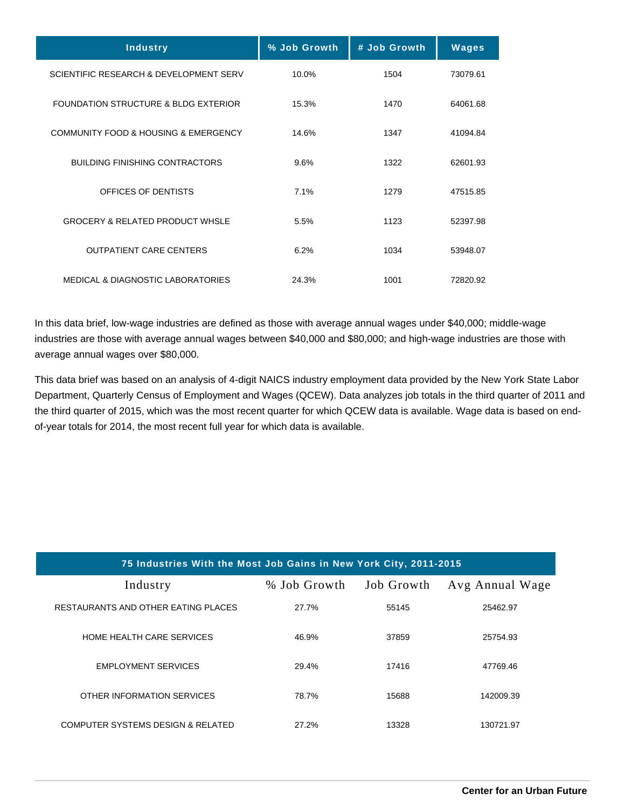| <b>Industry</b>                                     | % Job Growth | # Job Growth | <b>Wages</b> |
|-----------------------------------------------------|--------------|--------------|--------------|
| SCIENTIFIC RESEARCH & DEVELOPMENT SERV              | 10.0%        | 1504         | 73079.61     |
| <b>FOUNDATION STRUCTURE &amp; BLDG EXTERIOR</b>     | 15.3%        | 1470         | 64061.68     |
| <b>COMMUNITY FOOD &amp; HOUSING &amp; EMERGENCY</b> | 14.6%        | 1347         | 41094.84     |
| BUILDING FINISHING CONTRACTORS                      | 9.6%         | 1322         | 62601.93     |
| OFFICES OF DENTISTS                                 | 7.1%         | 1279         | 47515.85     |
| <b>GROCERY &amp; RELATED PRODUCT WHSLE</b>          | 5.5%         | 1123         | 52397.98     |
| <b>OUTPATIENT CARE CENTERS</b>                      | 6.2%         | 1034         | 53948.07     |
| <b>MEDICAL &amp; DIAGNOSTIC LABORATORIES</b>        | 24.3%        | 1001         | 72820.92     |

In this data brief, low-wage industries are defined as those with average annual wages under \$40,000; middle-wage industries are those with average annual wages between \$40,000 and \$80,000; and high-wage industries are those with average annual wages over \$80,000.

This data brief was based on an analysis of 4-digit NAICS industry employment data provided by the New York State Labor Department, Quarterly Census of Employment and Wages (QCEW). Data analyzes job totals in the third quarter of 2011 and the third quarter of 2015, which was the most recent quarter for which QCEW data is available. Wage data is based on endof-year totals for 2014, the most recent full year for which data is available.

| 75 Industries With the Most Job Gains in New York City, 2011-2015 |              |            |                 |
|-------------------------------------------------------------------|--------------|------------|-----------------|
| Industry                                                          | % Job Growth | Job Growth | Avg Annual Wage |
| RESTAURANTS AND OTHER EATING PLACES                               | 27.7%        | 55145      | 25462.97        |
| HOME HEALTH CARE SERVICES                                         | 46.9%        | 37859      | 25754.93        |
| <b>EMPLOYMENT SERVICES</b>                                        | 29.4%        | 17416      | 47769.46        |
| OTHER INFORMATION SERVICES                                        | 78.7%        | 15688      | 142009.39       |
| COMPUTER SYSTEMS DESIGN & RELATED                                 | 27.2%        | 13328      | 130721.97       |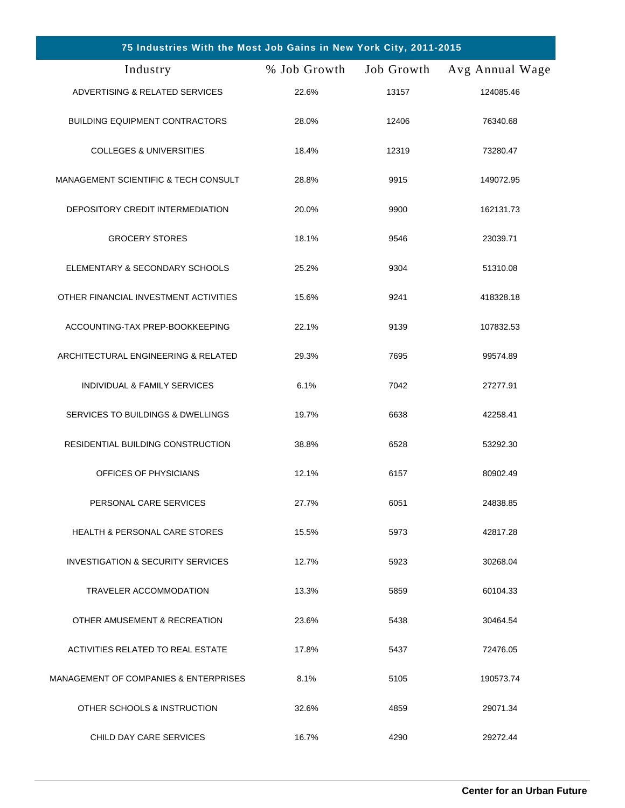| 75 Industries With the Most Job Gains in New York City, 2011-2015 |              |            |                 |
|-------------------------------------------------------------------|--------------|------------|-----------------|
| Industry                                                          | % Job Growth | Job Growth | Avg Annual Wage |
| ADVERTISING & RELATED SERVICES                                    | 22.6%        | 13157      | 124085.46       |
| <b>BUILDING EQUIPMENT CONTRACTORS</b>                             | 28.0%        | 12406      | 76340.68        |
| <b>COLLEGES &amp; UNIVERSITIES</b>                                | 18.4%        | 12319      | 73280.47        |
| <b>MANAGEMENT SCIENTIFIC &amp; TECH CONSULT</b>                   | 28.8%        | 9915       | 149072.95       |
| DEPOSITORY CREDIT INTERMEDIATION                                  | 20.0%        | 9900       | 162131.73       |
| <b>GROCERY STORES</b>                                             | 18.1%        | 9546       | 23039.71        |
| ELEMENTARY & SECONDARY SCHOOLS                                    | 25.2%        | 9304       | 51310.08        |
| OTHER FINANCIAL INVESTMENT ACTIVITIES                             | 15.6%        | 9241       | 418328.18       |
| ACCOUNTING-TAX PREP-BOOKKEEPING                                   | 22.1%        | 9139       | 107832.53       |
| ARCHITECTURAL ENGINEERING & RELATED                               | 29.3%        | 7695       | 99574.89        |
| INDIVIDUAL & FAMILY SERVICES                                      | 6.1%         | 7042       | 27277.91        |
| SERVICES TO BUILDINGS & DWELLINGS                                 | 19.7%        | 6638       | 42258.41        |
| RESIDENTIAL BUILDING CONSTRUCTION                                 | 38.8%        | 6528       | 53292.30        |
| OFFICES OF PHYSICIANS                                             | 12.1%        | 6157       | 80902.49        |
| PERSONAL CARE SERVICES                                            | 27.7%        | 6051       | 24838.85        |
| <b>HEALTH &amp; PERSONAL CARE STORES</b>                          | 15.5%        | 5973       | 42817.28        |
| INVESTIGATION & SECURITY SERVICES                                 | 12.7%        | 5923       | 30268.04        |
| <b>TRAVELER ACCOMMODATION</b>                                     | 13.3%        | 5859       | 60104.33        |
| OTHER AMUSEMENT & RECREATION                                      | 23.6%        | 5438       | 30464.54        |
| ACTIVITIES RELATED TO REAL ESTATE                                 | 17.8%        | 5437       | 72476.05        |
| MANAGEMENT OF COMPANIES & ENTERPRISES                             | 8.1%         | 5105       | 190573.74       |
| OTHER SCHOOLS & INSTRUCTION                                       | 32.6%        | 4859       | 29071.34        |
| CHILD DAY CARE SERVICES                                           | 16.7%        | 4290       | 29272.44        |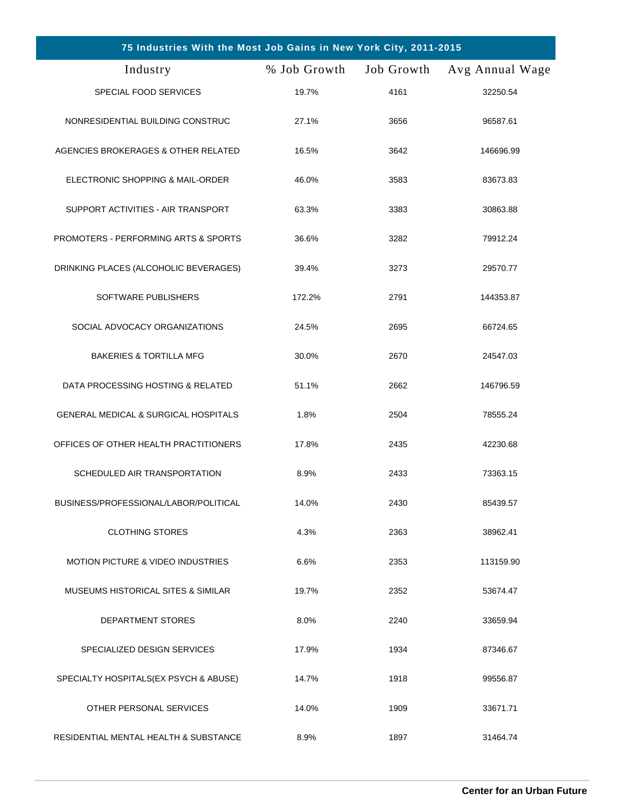| 75 Industries With the Most Job Gains in New York City, 2011-2015 |              |            |                 |
|-------------------------------------------------------------------|--------------|------------|-----------------|
| Industry                                                          | % Job Growth | Job Growth | Avg Annual Wage |
| SPECIAL FOOD SERVICES                                             | 19.7%        | 4161       | 32250.54        |
| NONRESIDENTIAL BUILDING CONSTRUC                                  | 27.1%        | 3656       | 96587.61        |
| AGENCIES BROKERAGES & OTHER RELATED                               | 16.5%        | 3642       | 146696.99       |
| ELECTRONIC SHOPPING & MAIL-ORDER                                  | 46.0%        | 3583       | 83673.83        |
| SUPPORT ACTIVITIES - AIR TRANSPORT                                | 63.3%        | 3383       | 30863.88        |
| PROMOTERS - PERFORMING ARTS & SPORTS                              | 36.6%        | 3282       | 79912.24        |
| DRINKING PLACES (ALCOHOLIC BEVERAGES)                             | 39.4%        | 3273       | 29570.77        |
| SOFTWARE PUBLISHERS                                               | 172.2%       | 2791       | 144353.87       |
| SOCIAL ADVOCACY ORGANIZATIONS                                     | 24.5%        | 2695       | 66724.65        |
| <b>BAKERIES &amp; TORTILLA MFG</b>                                | 30.0%        | 2670       | 24547.03        |
| DATA PROCESSING HOSTING & RELATED                                 | 51.1%        | 2662       | 146796.59       |
| <b>GENERAL MEDICAL &amp; SURGICAL HOSPITALS</b>                   | 1.8%         | 2504       | 78555.24        |
| OFFICES OF OTHER HEALTH PRACTITIONERS                             | 17.8%        | 2435       | 42230.68        |
| SCHEDULED AIR TRANSPORTATION                                      | 8.9%         | 2433       | 73363.15        |
| BUSINESS/PROFESSIONAL/LABOR/POLITICAL                             | 14.0%        | 2430       | 85439.57        |
| <b>CLOTHING STORES</b>                                            | 4.3%         | 2363       | 38962.41        |
| <b>MOTION PICTURE &amp; VIDEO INDUSTRIES</b>                      | 6.6%         | 2353       | 113159.90       |
| MUSEUMS HISTORICAL SITES & SIMILAR                                | 19.7%        | 2352       | 53674.47        |
| <b>DEPARTMENT STORES</b>                                          | 8.0%         | 2240       | 33659.94        |
| SPECIALIZED DESIGN SERVICES                                       | 17.9%        | 1934       | 87346.67        |
| SPECIALTY HOSPITALS(EX PSYCH & ABUSE)                             | 14.7%        | 1918       | 99556.87        |
| OTHER PERSONAL SERVICES                                           | 14.0%        | 1909       | 33671.71        |
| RESIDENTIAL MENTAL HEALTH & SUBSTANCE                             | 8.9%         | 1897       | 31464.74        |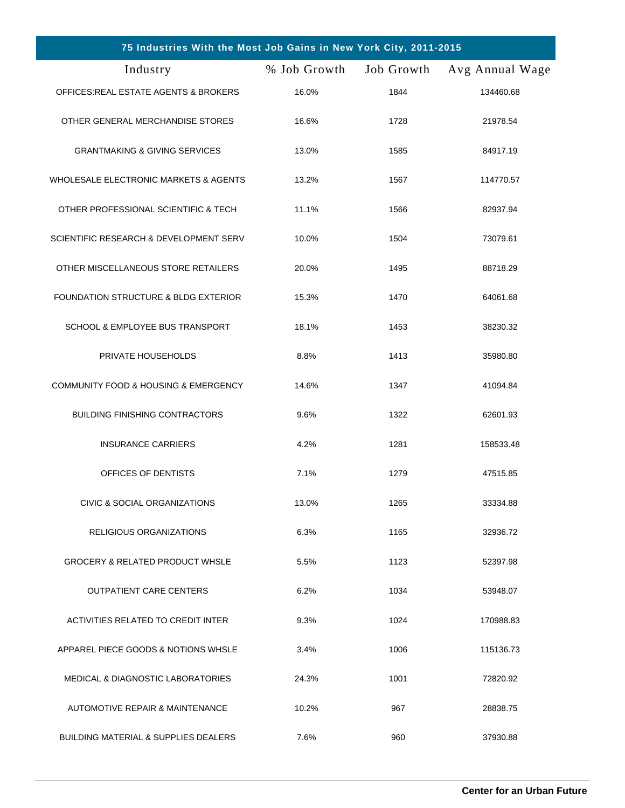| 75 Industries With the Most Job Gains in New York City, 2011-2015 |              |            |                 |
|-------------------------------------------------------------------|--------------|------------|-----------------|
| Industry                                                          | % Job Growth | Job Growth | Avg Annual Wage |
| OFFICES: REAL ESTATE AGENTS & BROKERS                             | 16.0%        | 1844       | 134460.68       |
| OTHER GENERAL MERCHANDISE STORES                                  | 16.6%        | 1728       | 21978.54        |
| <b>GRANTMAKING &amp; GIVING SERVICES</b>                          | 13.0%        | 1585       | 84917.19        |
| WHOLESALE ELECTRONIC MARKETS & AGENTS                             | 13.2%        | 1567       | 114770.57       |
| OTHER PROFESSIONAL SCIENTIFIC & TECH                              | 11.1%        | 1566       | 82937.94        |
| SCIENTIFIC RESEARCH & DEVELOPMENT SERV                            | 10.0%        | 1504       | 73079.61        |
| OTHER MISCELLANEOUS STORE RETAILERS                               | 20.0%        | 1495       | 88718.29        |
| <b>FOUNDATION STRUCTURE &amp; BLDG EXTERIOR</b>                   | 15.3%        | 1470       | 64061.68        |
| SCHOOL & EMPLOYEE BUS TRANSPORT                                   | 18.1%        | 1453       | 38230.32        |
| PRIVATE HOUSEHOLDS                                                | 8.8%         | 1413       | 35980.80        |
| <b>COMMUNITY FOOD &amp; HOUSING &amp; EMERGENCY</b>               | 14.6%        | 1347       | 41094.84        |
| <b>BUILDING FINISHING CONTRACTORS</b>                             | 9.6%         | 1322       | 62601.93        |
| <b>INSURANCE CARRIERS</b>                                         | 4.2%         | 1281       | 158533.48       |
| OFFICES OF DENTISTS                                               | 7.1%         | 1279       | 47515.85        |
| CIVIC & SOCIAL ORGANIZATIONS                                      | 13.0%        | 1265       | 33334.88        |
| RELIGIOUS ORGANIZATIONS                                           | 6.3%         | 1165       | 32936.72        |
| <b>GROCERY &amp; RELATED PRODUCT WHSLE</b>                        | 5.5%         | 1123       | 52397.98        |
| <b>OUTPATIENT CARE CENTERS</b>                                    | 6.2%         | 1034       | 53948.07        |
| ACTIVITIES RELATED TO CREDIT INTER                                | 9.3%         | 1024       | 170988.83       |
| APPAREL PIECE GOODS & NOTIONS WHSLE                               | 3.4%         | 1006       | 115136.73       |
| <b>MEDICAL &amp; DIAGNOSTIC LABORATORIES</b>                      | 24.3%        | 1001       | 72820.92        |
| AUTOMOTIVE REPAIR & MAINTENANCE                                   | 10.2%        | 967        | 28838.75        |
| <b>BUILDING MATERIAL &amp; SUPPLIES DEALERS</b>                   | 7.6%         | 960        | 37930.88        |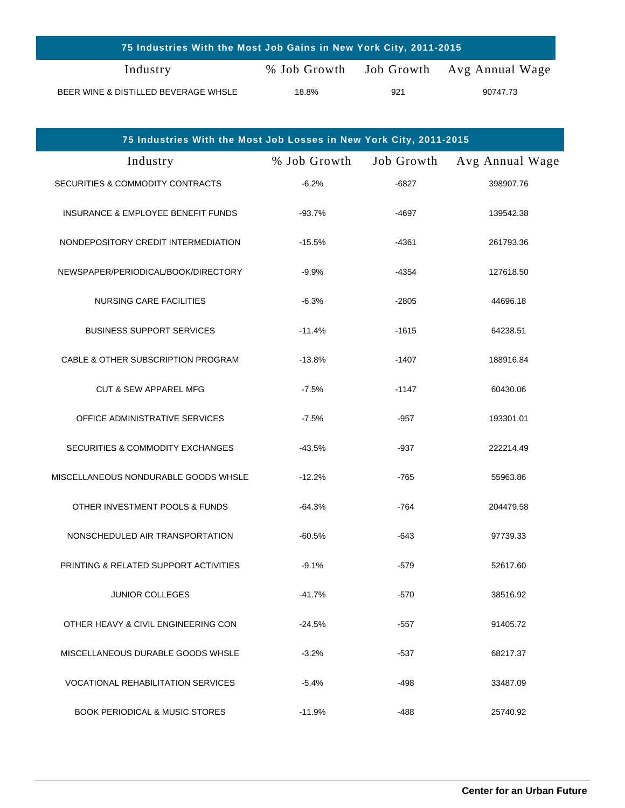| 75 Industries With the Most Job Gains in New York City, 2011-2015 |              |     |                            |
|-------------------------------------------------------------------|--------------|-----|----------------------------|
| Industry                                                          | % Job Growth |     | Job Growth Avg Annual Wage |
| BEER WINE & DISTILLED BEVERAGE WHSLE                              | 18.8%        | 921 | 90747.73                   |

| 75 Industries With the Most Job Losses in New York City, 2011-2015 |              |            |                 |
|--------------------------------------------------------------------|--------------|------------|-----------------|
| Industry                                                           | % Job Growth | Job Growth | Avg Annual Wage |
| SECURITIES & COMMODITY CONTRACTS                                   | $-6.2%$      | $-6827$    | 398907.76       |
| INSURANCE & EMPLOYEE BENEFIT FUNDS                                 | $-93.7%$     | -4697      | 139542.38       |
| NONDEPOSITORY CREDIT INTERMEDIATION                                | $-15.5%$     | -4361      | 261793.36       |
| NEWSPAPER/PERIODICAL/BOOK/DIRECTORY                                | $-9.9%$      | -4354      | 127618.50       |
| <b>NURSING CARE FACILITIES</b>                                     | $-6.3%$      | $-2805$    | 44696.18        |
| <b>BUSINESS SUPPORT SERVICES</b>                                   | $-11.4%$     | $-1615$    | 64238.51        |
| CABLE & OTHER SUBSCRIPTION PROGRAM                                 | $-13.8%$     | $-1407$    | 188916.84       |
| <b>CUT &amp; SEW APPAREL MFG</b>                                   | $-7.5%$      | $-1147$    | 60430.06        |
| OFFICE ADMINISTRATIVE SERVICES                                     | $-7.5%$      | $-957$     | 193301.01       |
| SECURITIES & COMMODITY EXCHANGES                                   | $-43.5%$     | -937       | 222214.49       |
| MISCELLANEOUS NONDURABLE GOODS WHSLE                               | $-12.2%$     | $-765$     | 55963.86        |
| OTHER INVESTMENT POOLS & FUNDS                                     | $-64.3%$     | $-764$     | 204479.58       |
| NONSCHEDULED AIR TRANSPORTATION                                    | $-60.5%$     | -643       | 97739.33        |
| PRINTING & RELATED SUPPORT ACTIVITIES                              | $-9.1%$      | $-579$     | 52617.60        |
| <b>JUNIOR COLLEGES</b>                                             | $-41.7%$     | -570       | 38516.92        |
| OTHER HEAVY & CIVIL ENGINEERING CON                                | $-24.5%$     | $-557$     | 91405.72        |
| MISCELLANEOUS DURABLE GOODS WHSLE                                  | $-3.2%$      | $-537$     | 68217.37        |
| <b>VOCATIONAL REHABILITATION SERVICES</b>                          | $-5.4%$      | -498       | 33487.09        |
| <b>BOOK PERIODICAL &amp; MUSIC STORES</b>                          | $-11.9%$     | -488       | 25740.92        |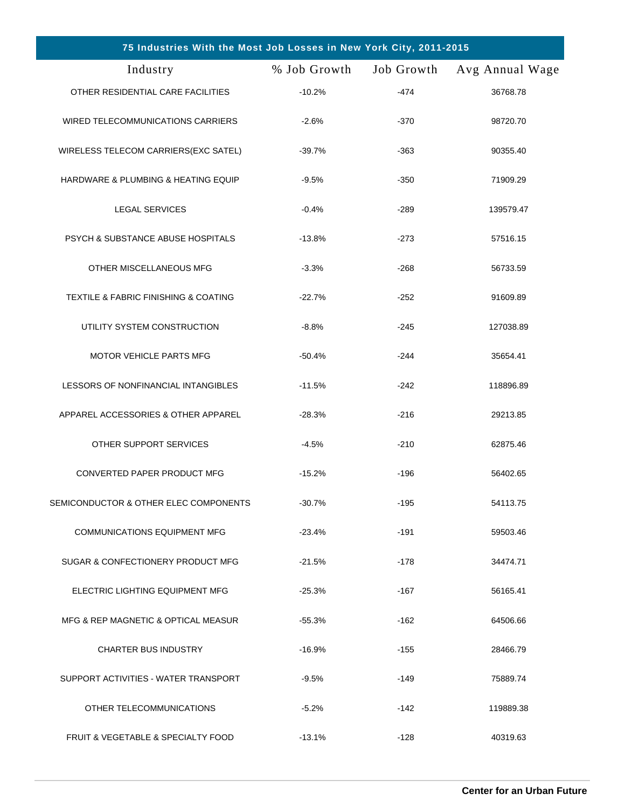| 75 Industries With the Most Job Losses in New York City, 2011-2015 |              |            |                 |
|--------------------------------------------------------------------|--------------|------------|-----------------|
| Industry                                                           | % Job Growth | Job Growth | Avg Annual Wage |
| OTHER RESIDENTIAL CARE FACILITIES                                  | $-10.2%$     | $-474$     | 36768.78        |
| WIRED TELECOMMUNICATIONS CARRIERS                                  | $-2.6%$      | $-370$     | 98720.70        |
| WIRELESS TELECOM CARRIERS(EXC SATEL)                               | $-39.7%$     | $-363$     | 90355.40        |
| HARDWARE & PLUMBING & HEATING EQUIP                                | $-9.5%$      | $-350$     | 71909.29        |
| <b>LEGAL SERVICES</b>                                              | $-0.4%$      | $-289$     | 139579.47       |
| PSYCH & SUBSTANCE ABUSE HOSPITALS                                  | $-13.8%$     | $-273$     | 57516.15        |
| OTHER MISCELLANEOUS MFG                                            | $-3.3%$      | $-268$     | 56733.59        |
| <b>TEXTILE &amp; FABRIC FINISHING &amp; COATING</b>                | $-22.7%$     | $-252$     | 91609.89        |
| UTILITY SYSTEM CONSTRUCTION                                        | $-8.8%$      | $-245$     | 127038.89       |
| <b>MOTOR VEHICLE PARTS MFG</b>                                     | $-50.4%$     | $-244$     | 35654.41        |
| LESSORS OF NONFINANCIAL INTANGIBLES                                | $-11.5%$     | $-242$     | 118896.89       |
| APPAREL ACCESSORIES & OTHER APPAREL                                | $-28.3%$     | $-216$     | 29213.85        |
| OTHER SUPPORT SERVICES                                             | $-4.5%$      | $-210$     | 62875.46        |
| CONVERTED PAPER PRODUCT MFG                                        | $-15.2%$     | $-196$     | 56402.65        |
| SEMICONDUCTOR & OTHER ELEC COMPONENTS                              | $-30.7%$     | $-195$     | 54113.75        |
| <b>COMMUNICATIONS EQUIPMENT MFG</b>                                | $-23.4%$     | $-191$     | 59503.46        |
| SUGAR & CONFECTIONERY PRODUCT MFG                                  | $-21.5%$     | $-178$     | 34474.71        |
| ELECTRIC LIGHTING EQUIPMENT MFG                                    | $-25.3%$     | -167       | 56165.41        |
| MFG & REP MAGNETIC & OPTICAL MEASUR                                | $-55.3%$     | $-162$     | 64506.66        |
| <b>CHARTER BUS INDUSTRY</b>                                        | $-16.9%$     | $-155$     | 28466.79        |
| SUPPORT ACTIVITIES - WATER TRANSPORT                               | $-9.5%$      | $-149$     | 75889.74        |
| OTHER TELECOMMUNICATIONS                                           | $-5.2%$      | -142       | 119889.38       |
| FRUIT & VEGETABLE & SPECIALTY FOOD                                 | $-13.1%$     | $-128$     | 40319.63        |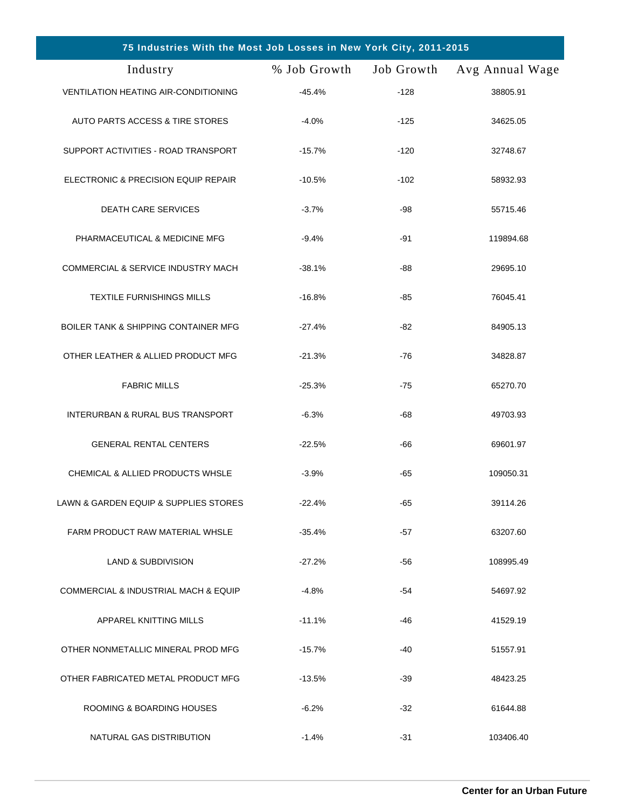| 75 Industries With the Most Job Losses in New York City, 2011-2015 |              |            |                 |
|--------------------------------------------------------------------|--------------|------------|-----------------|
| Industry                                                           | % Job Growth | Job Growth | Avg Annual Wage |
| VENTILATION HEATING AIR-CONDITIONING                               | $-45.4%$     | $-128$     | 38805.91        |
| AUTO PARTS ACCESS & TIRE STORES                                    | $-4.0%$      | $-125$     | 34625.05        |
| SUPPORT ACTIVITIES - ROAD TRANSPORT                                | $-15.7%$     | $-120$     | 32748.67        |
| ELECTRONIC & PRECISION EQUIP REPAIR                                | $-10.5%$     | $-102$     | 58932.93        |
| <b>DEATH CARE SERVICES</b>                                         | $-3.7%$      | -98        | 55715.46        |
| PHARMACEUTICAL & MEDICINE MFG                                      | $-9.4%$      | -91        | 119894.68       |
| <b>COMMERCIAL &amp; SERVICE INDUSTRY MACH</b>                      | $-38.1%$     | -88        | 29695.10        |
| <b>TEXTILE FURNISHINGS MILLS</b>                                   | $-16.8%$     | -85        | 76045.41        |
| <b>BOILER TANK &amp; SHIPPING CONTAINER MFG</b>                    | $-27.4%$     | -82        | 84905.13        |
| OTHER LEATHER & ALLIED PRODUCT MFG                                 | $-21.3%$     | $-76$      | 34828.87        |
| <b>FABRIC MILLS</b>                                                | $-25.3%$     | $-75$      | 65270.70        |
| INTERURBAN & RURAL BUS TRANSPORT                                   | $-6.3%$      | -68        | 49703.93        |
| <b>GENERAL RENTAL CENTERS</b>                                      | $-22.5%$     | -66        | 69601.97        |
| CHEMICAL & ALLIED PRODUCTS WHSLE                                   | $-3.9%$      | $-65$      | 109050.31       |
| LAWN & GARDEN EQUIP & SUPPLIES STORES                              | $-22.4%$     | -65        | 39114.26        |
| FARM PRODUCT RAW MATERIAL WHSLE                                    | $-35.4%$     | -57        | 63207.60        |
| <b>LAND &amp; SUBDIVISION</b>                                      | $-27.2%$     | -56        | 108995.49       |
| COMMERCIAL & INDUSTRIAL MACH & EQUIP                               | $-4.8%$      | -54        | 54697.92        |
| APPAREL KNITTING MILLS                                             | $-11.1%$     | -46        | 41529.19        |
| OTHER NONMETALLIC MINERAL PROD MFG                                 | $-15.7%$     | -40        | 51557.91        |
| OTHER FABRICATED METAL PRODUCT MFG                                 | $-13.5%$     | $-39$      | 48423.25        |
| ROOMING & BOARDING HOUSES                                          | $-6.2%$      | $-32$      | 61644.88        |
| NATURAL GAS DISTRIBUTION                                           | $-1.4%$      | $-31$      | 103406.40       |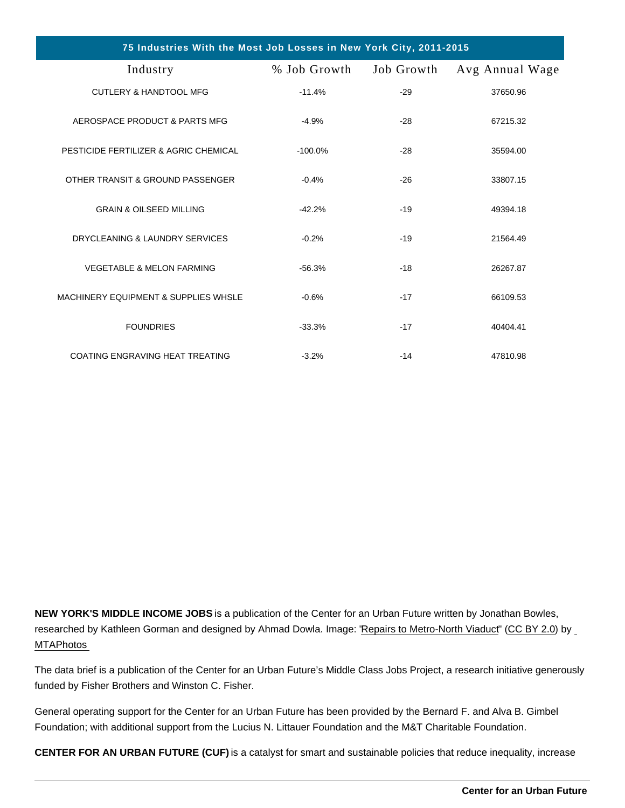| 75 Industries With the Most Job Losses in New York City, 2011-2015 |                         |       |                 |
|--------------------------------------------------------------------|-------------------------|-------|-----------------|
| Industry                                                           | % Job Growth Job Growth |       | Avg Annual Wage |
| <b>CUTLERY &amp; HANDTOOL MFG</b>                                  | $-11.4%$                | $-29$ | 37650.96        |
| AEROSPACE PRODUCT & PARTS MFG                                      | $-4.9%$                 | $-28$ | 67215.32        |
| PESTICIDE FERTILIZER & AGRIC CHEMICAL                              | $-100.0\%$              | $-28$ | 35594.00        |
| OTHER TRANSIT & GROUND PASSENGER                                   | $-0.4%$                 | $-26$ | 33807.15        |
| <b>GRAIN &amp; OILSEED MILLING</b>                                 | $-42.2%$                | $-19$ | 49394.18        |
| DRYCLEANING & LAUNDRY SERVICES                                     | $-0.2%$                 | $-19$ | 21564.49        |
| <b>VEGETABLE &amp; MELON FARMING</b>                               | $-56.3%$                | $-18$ | 26267.87        |
| <b>MACHINERY EQUIPMENT &amp; SUPPLIES WHSLE</b>                    | $-0.6%$                 | $-17$ | 66109.53        |
| <b>FOUNDRIES</b>                                                   | $-33.3%$                | $-17$ | 40404.41        |
| COATING ENGRAVING HEAT TREATING                                    | $-3.2%$                 | $-14$ | 47810.98        |

NEW YORK'S MIDDLE INCOME JOBS is a publication of the Center for an Urban Future written by Jonathan Bowles, researched by Kathleen Gorman and designed by Ahmad Dowla. Image: ["Repairs to Metro-North Viaduct](https://www.flickr.com/photos/mtaphotos/27006617062/)" ([CC BY 2.0\)](https://creativecommons.org/licenses/by/2.0/) by [MTAPhotos](https://www.flickr.com/people/mtaphotos/)

The data brief is a publication of the Center for an Urban Future's Middle Class Jobs Project, a research initiative generously funded by Fisher Brothers and Winston C. Fisher.

General operating support for the Center for an Urban Future has been provided by the Bernard F. and Alva B. Gimbel Foundation; with additional support from the Lucius N. Littauer Foundation and the M&T Charitable Foundation.

CENTER FOR AN URBAN FUTURE (CUF) is a catalyst for smart and sustainable policies that reduce inequality, increase